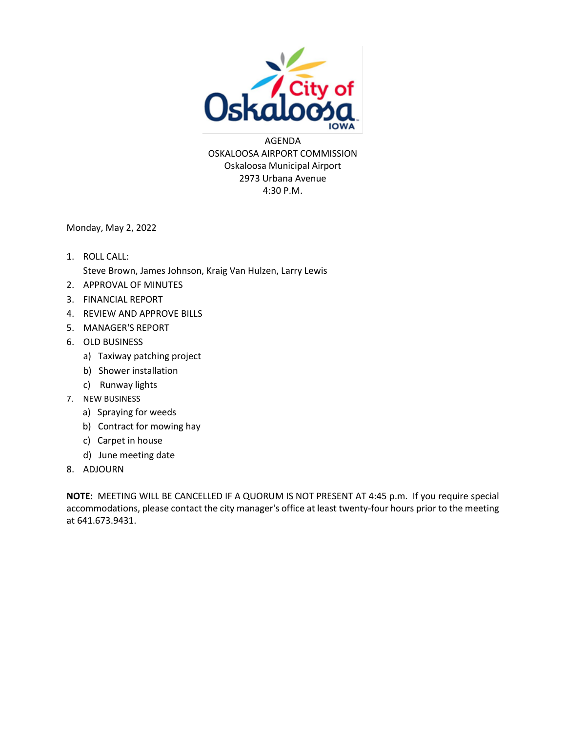

AGENDA OSKALOOSA AIRPORT COMMISSION Oskaloosa Municipal Airport 2973 Urbana Avenue 4:30 P.M.

Monday, May 2, 2022

- 1. ROLL CALL: Steve Brown, James Johnson, Kraig Van Hulzen, Larry Lewis
- 2. APPROVAL OF MINUTES
- 3. FINANCIAL REPORT
- 4. REVIEW AND APPROVE BILLS
- 5. MANAGER'S REPORT
- 6. OLD BUSINESS
	- a) Taxiway patching project
	- b) Shower installation
	- c) Runway lights
- 7. NEW BUSINESS
	- a) Spraying for weeds
	- b) Contract for mowing hay
	- c) Carpet in house
	- d) June meeting date
- 8. ADJOURN

**NOTE:** MEETING WILL BE CANCELLED IF A QUORUM IS NOT PRESENT AT 4:45 p.m. If you require special accommodations, please contact the city manager's office at least twenty-four hours prior to the meeting at 641.673.9431.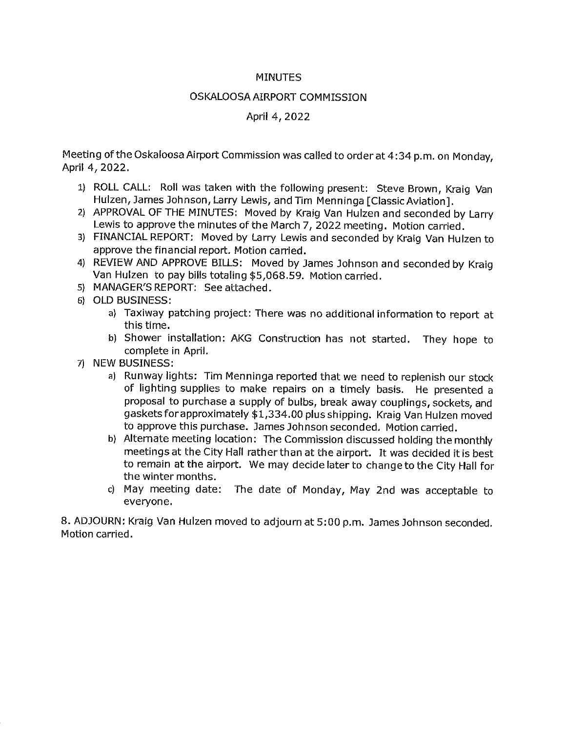#### **MINUTES**

#### OSKALOOSA AIRPORT COMMISSION

#### April 4, 2022

Meeting of the Oskaloosa Airport Commission was called to order at 4:34 p.m. on Monday, April 4, 2022.

- 1) ROLL CALL: Roll was taken with the following present: Steve Brown, Kraig Van Hulzen, James Johnson, Larry Lewis, and Tim Menninga [Classic Aviation].
- 2) APPROVAL OF THE MINUTES: Moved by Kraig Van Hulzen and seconded by Larry Lewis to approve the minutes of the March 7, 2022 meeting. Motion carried.
- 3) FINANCIAL REPORT: Moved by Larry Lewis and seconded by Kraig Van Hulzen to approve the financial report. Motion carried.
- 4) REVIEW AND APPROVE BILLS: Moved by James Johnson and seconded by Kraig Van Hulzen to pay bills totaling \$5,068.59. Motion carried.
- 5) MANAGER'S REPORT: See attached.
- 6) OLD BUSINESS:
	- a) Taxiway patching project: There was no additional information to report at this time.
	- b) Shower installation: AKG Construction has not started. They hope to complete in April.
- 71 NEW BUSINESS:
	- a) Runway lights: Tim Menninga reported that we need to replenish our stock of lighting supplies to make repairs on a timely basis. He presented a proposal to purchase a supply of bulbs, break away couplings, sockets, and gaskets for approximately \$1,334.00 plus shipping. Kraig Van Hulzen moved to approve this purchase. James Johnson seconded. Motion carried.
	- b) Alternate meeting location: The Commission discussed holding the monthly meetings at the City Hall rather than at the airport. It was decided it is best to remain at the airport. We may decide later to change to the City Hall for the winter months.
	- c) May meeting date: The date of Monday, May 2nd was acceptable to everyone.

8. ADJOURN: Kraig Van Hulzen moved to adjourn at 5:00 p.m. James Johnson seconded. Motion carried.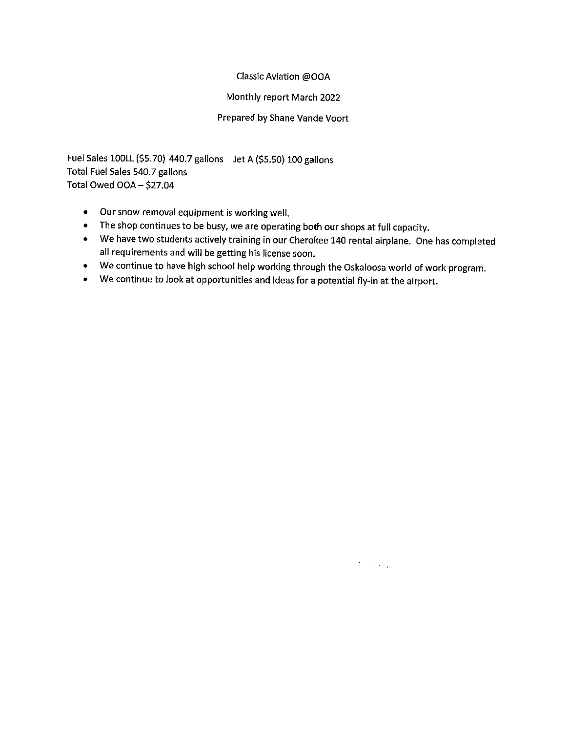#### Classic Aviation @OOA

#### Monthly report March 2022

#### Prepared by Shane Vande Voort

Fuel Sales 100LL (\$5.70) 440.7 gallons Jet A (\$5.50) 100 gallons Total Fuel Sales 540.7 gallons Total Owed OOA - \$27.04

- Our snow removal equipment is working well.
- The shop continues to be busy, we are operating both our shops at full capacity.
- We have two students actively training in our Cherokee 140 rental airplane. One has completed all requirements and will be getting his license soon.
- We continue to have high school help working through the Oskaloosa world of work program.
- We continue to look at opportunities and ideas for a potential fly-in at the airport.

 $\mathcal{P}^{\bullet}=\mathcal{P}^{\bullet}$  ,  $\mathcal{P}^{\bullet}$  ,  $\mathcal{P}^{\bullet}$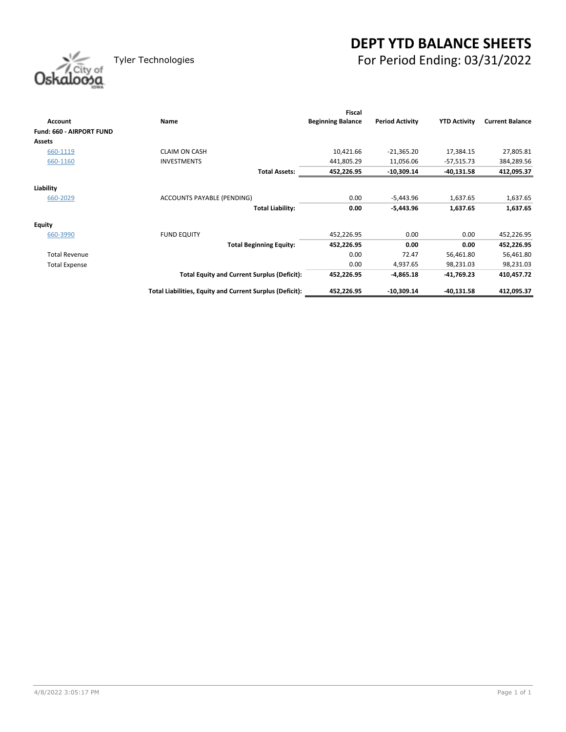# **DEPT YTD BALANCE SHEETS** Tyler Technologies For Period Ending: 03/31/2022

| Oskaloosa |
|-----------|
|           |

|                          |                                                          | <b>Fiscal</b>            |                        |                     |                        |
|--------------------------|----------------------------------------------------------|--------------------------|------------------------|---------------------|------------------------|
| <b>Account</b>           | Name                                                     | <b>Beginning Balance</b> | <b>Period Activity</b> | <b>YTD Activity</b> | <b>Current Balance</b> |
| Fund: 660 - AIRPORT FUND |                                                          |                          |                        |                     |                        |
| <b>Assets</b>            |                                                          |                          |                        |                     |                        |
| 660-1119                 | <b>CLAIM ON CASH</b>                                     | 10,421.66                | $-21,365.20$           | 17,384.15           | 27,805.81              |
| 660-1160                 | <b>INVESTMENTS</b>                                       | 441,805.29               | 11,056.06              | $-57,515.73$        | 384,289.56             |
|                          | <b>Total Assets:</b>                                     | 452,226.95               | $-10,309.14$           | $-40,131.58$        | 412,095.37             |
| Liability                |                                                          |                          |                        |                     |                        |
| 660-2029                 | ACCOUNTS PAYABLE (PENDING)                               | 0.00                     | $-5,443.96$            | 1,637.65            | 1,637.65               |
|                          |                                                          |                          |                        |                     |                        |
|                          | <b>Total Liability:</b>                                  | 0.00                     | $-5,443.96$            | 1,637.65            | 1,637.65               |
| <b>Equity</b>            |                                                          |                          |                        |                     |                        |
| 660-3990                 | <b>FUND EQUITY</b>                                       | 452,226.95               | 0.00                   | 0.00                | 452,226.95             |
|                          | <b>Total Beginning Equity:</b>                           | 452,226.95               | 0.00                   | 0.00                | 452,226.95             |
| <b>Total Revenue</b>     |                                                          | 0.00                     | 72.47                  | 56,461.80           | 56,461.80              |
| <b>Total Expense</b>     |                                                          | 0.00                     | 4,937.65               | 98,231.03           | 98,231.03              |
|                          | <b>Total Equity and Current Surplus (Deficit):</b>       | 452,226.95               | $-4,865.18$            | $-41,769.23$        | 410,457.72             |
|                          | Total Liabilities, Equity and Current Surplus (Deficit): | 452,226.95               | $-10,309.14$           | $-40,131.58$        | 412,095.37             |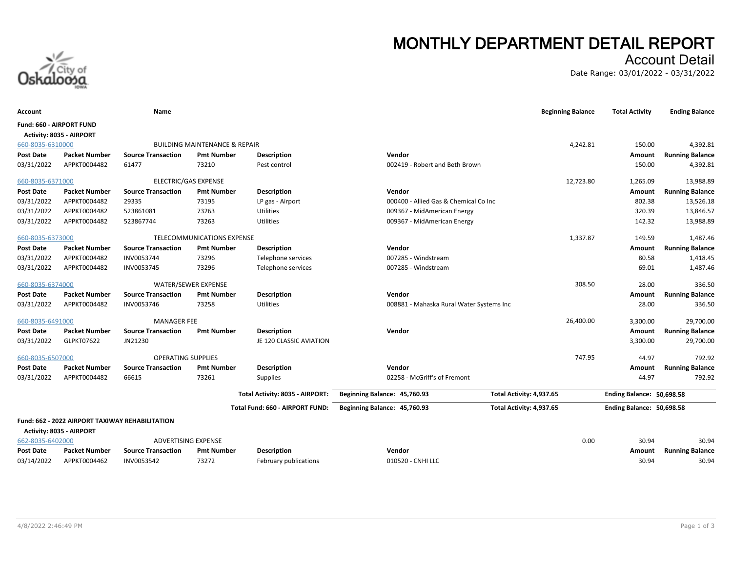

# **MONTHLY DEPARTMENT DETAIL REPORT**

## Account Detail

Date Range: 03/01/2022 - 03/31/2022

| Account                         |                                                 | Name                        |                                          |                                 |                                          | <b>Beginning Balance</b> | <b>Total Activity</b>     | <b>Ending Balance</b>  |
|---------------------------------|-------------------------------------------------|-----------------------------|------------------------------------------|---------------------------------|------------------------------------------|--------------------------|---------------------------|------------------------|
| <b>Fund: 660 - AIRPORT FUND</b> | Activity: 8035 - AIRPORT                        |                             |                                          |                                 |                                          |                          |                           |                        |
| 660-8035-6310000                |                                                 |                             | <b>BUILDING MAINTENANCE &amp; REPAIR</b> |                                 |                                          | 4,242.81                 | 150.00                    | 4,392.81               |
| <b>Post Date</b>                | <b>Packet Number</b>                            | <b>Source Transaction</b>   | <b>Pmt Number</b>                        | Description                     | Vendor                                   |                          | Amount                    | <b>Running Balance</b> |
| 03/31/2022                      | APPKT0004482                                    | 61477                       | 73210                                    | Pest control                    | 002419 - Robert and Beth Brown           |                          | 150.00                    | 4,392.81               |
| 660-8035-6371000                |                                                 | <b>ELECTRIC/GAS EXPENSE</b> |                                          |                                 |                                          | 12,723.80                | 1,265.09                  | 13,988.89              |
| <b>Post Date</b>                | <b>Packet Number</b>                            | <b>Source Transaction</b>   | <b>Pmt Number</b>                        | <b>Description</b>              | Vendor                                   |                          | Amount                    | <b>Running Balance</b> |
| 03/31/2022                      | APPKT0004482                                    | 29335                       | 73195                                    | LP gas - Airport                | 000400 - Allied Gas & Chemical Co Inc    |                          | 802.38                    | 13,526.18              |
| 03/31/2022                      | APPKT0004482                                    | 523861081                   | 73263                                    | Utilities                       | 009367 - MidAmerican Energy              |                          | 320.39                    | 13,846.57              |
| 03/31/2022                      | APPKT0004482                                    | 523867744                   | 73263                                    | Utilities                       | 009367 - MidAmerican Energy              |                          | 142.32                    | 13,988.89              |
| 660-8035-6373000                |                                                 |                             | TELECOMMUNICATIONS EXPENSE               |                                 |                                          | 1,337.87                 | 149.59                    | 1,487.46               |
| <b>Post Date</b>                | <b>Packet Number</b>                            | <b>Source Transaction</b>   | <b>Pmt Number</b>                        | <b>Description</b>              | Vendor                                   |                          | Amount                    | <b>Running Balance</b> |
| 03/31/2022                      | APPKT0004482                                    | INV0053744                  | 73296                                    | Telephone services              | 007285 - Windstream                      |                          | 80.58                     | 1,418.45               |
| 03/31/2022                      | APPKT0004482                                    | INV0053745                  | 73296                                    | Telephone services              | 007285 - Windstream                      |                          | 69.01                     | 1,487.46               |
| 660-8035-6374000                |                                                 | <b>WATER/SEWER EXPENSE</b>  |                                          |                                 |                                          | 308.50                   | 28.00                     | 336.50                 |
| <b>Post Date</b>                | <b>Packet Number</b>                            | <b>Source Transaction</b>   | <b>Pmt Number</b>                        | <b>Description</b>              | Vendor                                   |                          | Amount                    | <b>Running Balance</b> |
| 03/31/2022                      | APPKT0004482                                    | INV0053746                  | 73258                                    | Utilities                       | 008881 - Mahaska Rural Water Systems Inc |                          | 28.00                     | 336.50                 |
| 660-8035-6491000                |                                                 | <b>MANAGER FEE</b>          |                                          |                                 |                                          | 26,400.00                | 3,300.00                  | 29,700.00              |
| <b>Post Date</b>                | <b>Packet Number</b>                            | <b>Source Transaction</b>   | <b>Pmt Number</b>                        | Description                     | Vendor                                   |                          | Amount                    | <b>Running Balance</b> |
| 03/31/2022                      | GLPKT07622                                      | JN21230                     |                                          | JE 120 CLASSIC AVIATION         |                                          |                          | 3,300.00                  | 29,700.00              |
| 660-8035-6507000                |                                                 | <b>OPERATING SUPPLIES</b>   |                                          |                                 |                                          | 747.95                   | 44.97                     | 792.92                 |
| <b>Post Date</b>                | <b>Packet Number</b>                            | <b>Source Transaction</b>   | <b>Pmt Number</b>                        | <b>Description</b>              | Vendor                                   |                          | Amount                    | <b>Running Balance</b> |
| 03/31/2022                      | APPKT0004482                                    | 66615                       | 73261                                    | Supplies                        | 02258 - McGriff's of Fremont             |                          | 44.97                     | 792.92                 |
|                                 |                                                 |                             |                                          | Total Activity: 8035 - AIRPORT: | Beginning Balance: 45,760.93             | Total Activity: 4,937.65 | Ending Balance: 50,698.58 |                        |
|                                 |                                                 |                             |                                          | Total Fund: 660 - AIRPORT FUND: | Beginning Balance: 45,760.93             | Total Activity: 4,937.65 | Ending Balance: 50,698.58 |                        |
|                                 | Fund: 662 - 2022 AIRPORT TAXIWAY REHABILITATION |                             |                                          |                                 |                                          |                          |                           |                        |
|                                 | Activity: 8035 - AIRPORT                        |                             |                                          |                                 |                                          |                          |                           |                        |
| 662-8035-6402000                |                                                 | ADVERTISING EXPENSE         |                                          |                                 |                                          | 0.00                     | 30.94                     | 30.94                  |
| <b>Post Date</b>                | <b>Packet Number</b>                            | <b>Source Transaction</b>   | <b>Pmt Number</b>                        | <b>Description</b>              | Vendor                                   |                          | Amount                    | <b>Running Balance</b> |
| 03/14/2022                      | APPKT0004462                                    | INV0053542                  | 73272                                    | February publications           | 010520 - CNHI LLC                        |                          | 30.94                     | 30.94                  |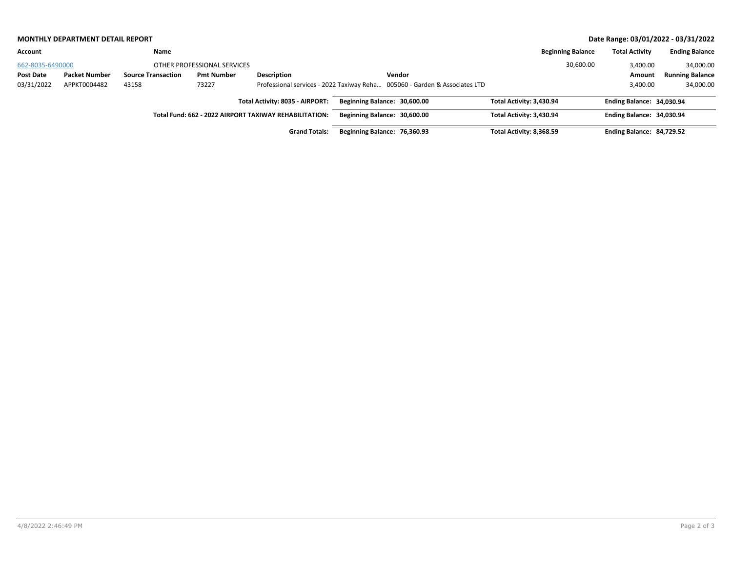|                  | Date Range: 03/01/2022 - 03/31/2022<br><b>MONTHLY DEPARTMENT DETAIL REPORT</b> |                           |                             |                                                        |                              |                                                                            |                          |                           |                        |
|------------------|--------------------------------------------------------------------------------|---------------------------|-----------------------------|--------------------------------------------------------|------------------------------|----------------------------------------------------------------------------|--------------------------|---------------------------|------------------------|
| Account          |                                                                                | Name                      |                             |                                                        |                              |                                                                            | <b>Beginning Balance</b> | <b>Total Activity</b>     | <b>Ending Balance</b>  |
| 662-8035-6490000 |                                                                                |                           | OTHER PROFESSIONAL SERVICES |                                                        |                              |                                                                            | 30,600.00                | 3,400.00                  | 34,000.00              |
| Post Date        | <b>Packet Number</b>                                                           | <b>Source Transaction</b> | <b>Pmt Number</b>           | <b>Description</b>                                     |                              | Vendor                                                                     |                          | Amount                    | <b>Running Balance</b> |
| 03/31/2022       | APPKT0004482                                                                   | 43158                     | 73227                       |                                                        |                              | Professional services - 2022 Taxiway Reha 005060 - Garden & Associates LTD |                          | 3,400.00                  | 34,000.00              |
|                  |                                                                                |                           |                             | Total Activity: 8035 - AIRPORT:                        | Beginning Balance: 30,600.00 |                                                                            | Total Activity: 3,430.94 | Ending Balance: 34,030.94 |                        |
|                  |                                                                                |                           |                             | Total Fund: 662 - 2022 AIRPORT TAXIWAY REHABILITATION: | Beginning Balance: 30,600.00 |                                                                            | Total Activity: 3,430.94 | Ending Balance: 34,030.94 |                        |
|                  |                                                                                |                           |                             | <b>Grand Totals:</b>                                   | Beginning Balance: 76,360.93 |                                                                            | Total Activity: 8,368.59 | Ending Balance: 84,729.52 |                        |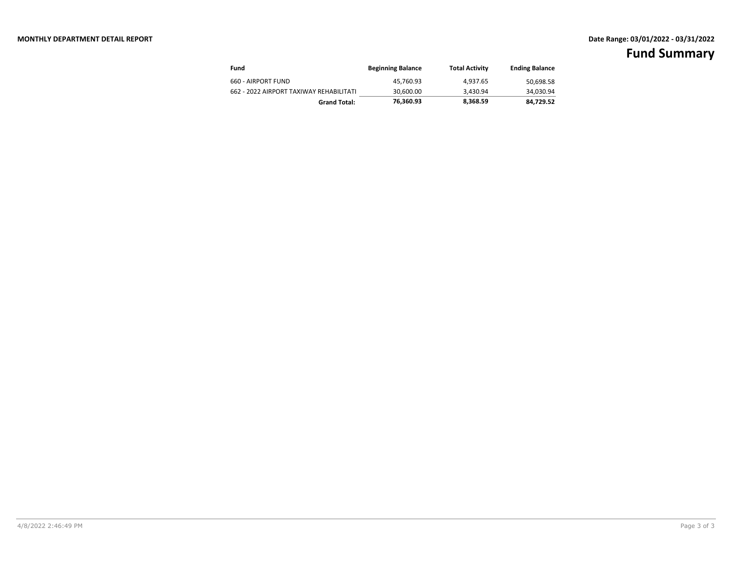| Fund                                    | <b>Beginning Balance</b> | <b>Total Activity</b> | <b>Ending Balance</b> |
|-----------------------------------------|--------------------------|-----------------------|-----------------------|
| 660 - AIRPORT FUND                      | 45.760.93                | 4.937.65              | 50,698.58             |
| 662 - 2022 AIRPORT TAXIWAY REHABILITATI | 30.600.00                | 3.430.94              | 34,030.94             |
| <b>Grand Total:</b>                     | 76.360.93                | 8,368.59              | 84.729.52             |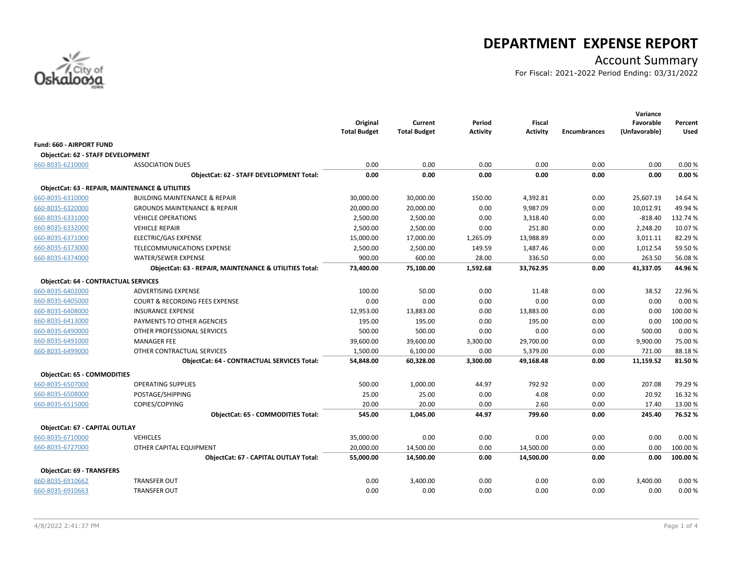

# **DEPARTMENT EXPENSE REPORT**

# Account Summary

For Fiscal: 2021-2022 Period Ending: 03/31/2022

|                                             |                                                            | Original<br><b>Total Budget</b> | Current<br><b>Total Budget</b> | Period<br><b>Activity</b> | <b>Fiscal</b><br><b>Activity</b> | <b>Encumbrances</b> | Variance<br>Favorable<br>(Unfavorable) | Percent<br>Used |
|---------------------------------------------|------------------------------------------------------------|---------------------------------|--------------------------------|---------------------------|----------------------------------|---------------------|----------------------------------------|-----------------|
| <b>Fund: 660 - AIRPORT FUND</b>             |                                                            |                                 |                                |                           |                                  |                     |                                        |                 |
| ObjectCat: 62 - STAFF DEVELOPMENT           |                                                            |                                 |                                |                           |                                  |                     |                                        |                 |
| 660-8035-6210000                            | <b>ASSOCIATION DUES</b>                                    | 0.00                            | 0.00                           | 0.00                      | 0.00                             | 0.00                | 0.00                                   | 0.00%           |
|                                             | ObjectCat: 62 - STAFF DEVELOPMENT Total:                   | 0.00                            | 0.00                           | 0.00                      | 0.00                             | 0.00                | 0.00                                   | 0.00%           |
|                                             | <b>ObjectCat: 63 - REPAIR, MAINTENANCE &amp; UTILITIES</b> |                                 |                                |                           |                                  |                     |                                        |                 |
| 660-8035-6310000                            | <b>BUILDING MAINTENANCE &amp; REPAIR</b>                   | 30,000.00                       | 30,000.00                      | 150.00                    | 4,392.81                         | 0.00                | 25,607.19                              | 14.64 %         |
| 660-8035-6320000                            | <b>GROUNDS MAINTENANCE &amp; REPAIR</b>                    | 20,000.00                       | 20,000.00                      | 0.00                      | 9,987.09                         | 0.00                | 10,012.91                              | 49.94 %         |
| 660-8035-6331000                            | <b>VEHICLE OPERATIONS</b>                                  | 2,500.00                        | 2,500.00                       | 0.00                      | 3,318.40                         | 0.00                | $-818.40$                              | 132.74 %        |
| 660-8035-6332000                            | <b>VEHICLE REPAIR</b>                                      | 2,500.00                        | 2,500.00                       | 0.00                      | 251.80                           | 0.00                | 2,248.20                               | 10.07%          |
| 660-8035-6371000                            | ELECTRIC/GAS EXPENSE                                       | 15,000.00                       | 17,000.00                      | 1,265.09                  | 13,988.89                        | 0.00                | 3,011.11                               | 82.29%          |
| 660-8035-6373000                            | TELECOMMUNICATIONS EXPENSE                                 | 2,500.00                        | 2,500.00                       | 149.59                    | 1,487.46                         | 0.00                | 1,012.54                               | 59.50%          |
| 660-8035-6374000                            | <b>WATER/SEWER EXPENSE</b>                                 | 900.00                          | 600.00                         | 28.00                     | 336.50                           | 0.00                | 263.50                                 | 56.08%          |
|                                             | ObjectCat: 63 - REPAIR, MAINTENANCE & UTILITIES Total:     | 73,400.00                       | 75,100.00                      | 1,592.68                  | 33,762.95                        | 0.00                | 41,337.05                              | 44.96%          |
| <b>ObjectCat: 64 - CONTRACTUAL SERVICES</b> |                                                            |                                 |                                |                           |                                  |                     |                                        |                 |
| 660-8035-6402000                            | <b>ADVERTISING EXPENSE</b>                                 | 100.00                          | 50.00                          | 0.00                      | 11.48                            | 0.00                | 38.52                                  | 22.96%          |
| 660-8035-6405000                            | <b>COURT &amp; RECORDING FEES EXPENSE</b>                  | 0.00                            | 0.00                           | 0.00                      | 0.00                             | 0.00                | 0.00                                   | 0.00%           |
| 660-8035-6408000                            | <b>INSURANCE EXPENSE</b>                                   | 12,953.00                       | 13,883.00                      | 0.00                      | 13,883.00                        | 0.00                | 0.00                                   | 100.00%         |
| 660-8035-6413000                            | PAYMENTS TO OTHER AGENCIES                                 | 195.00                          | 195.00                         | 0.00                      | 195.00                           | 0.00                | 0.00                                   | 100.00%         |
| 660-8035-6490000                            | OTHER PROFESSIONAL SERVICES                                | 500.00                          | 500.00                         | 0.00                      | 0.00                             | 0.00                | 500.00                                 | 0.00%           |
| 660-8035-6491000                            | <b>MANAGER FEE</b>                                         | 39,600.00                       | 39,600.00                      | 3,300.00                  | 29,700.00                        | 0.00                | 9,900.00                               | 75.00 %         |
| 660-8035-6499000                            | OTHER CONTRACTUAL SERVICES                                 | 1,500.00                        | 6,100.00                       | 0.00                      | 5,379.00                         | 0.00                | 721.00                                 | 88.18%          |
|                                             | <b>ObjectCat: 64 - CONTRACTUAL SERVICES Total:</b>         | 54,848.00                       | 60,328.00                      | 3,300.00                  | 49,168.48                        | 0.00                | 11,159.52                              | 81.50%          |
| <b>ObjectCat: 65 - COMMODITIES</b>          |                                                            |                                 |                                |                           |                                  |                     |                                        |                 |
| 660-8035-6507000                            | <b>OPERATING SUPPLIES</b>                                  | 500.00                          | 1,000.00                       | 44.97                     | 792.92                           | 0.00                | 207.08                                 | 79.29 %         |
| 660-8035-6508000                            | POSTAGE/SHIPPING                                           | 25.00                           | 25.00                          | 0.00                      | 4.08                             | 0.00                | 20.92                                  | 16.32%          |
| 660-8035-6515000                            | COPIES/COPYING                                             | 20.00                           | 20.00                          | 0.00                      | 2.60                             | 0.00                | 17.40                                  | 13.00 %         |
|                                             | ObjectCat: 65 - COMMODITIES Total:                         | 545.00                          | 1,045.00                       | 44.97                     | 799.60                           | 0.00                | 245.40                                 | 76.52%          |
| ObjectCat: 67 - CAPITAL OUTLAY              |                                                            |                                 |                                |                           |                                  |                     |                                        |                 |
| 660-8035-6710000                            | <b>VEHICLES</b>                                            | 35,000.00                       | 0.00                           | 0.00                      | 0.00                             | 0.00                | 0.00                                   | 0.00%           |
| 660-8035-6727000                            | OTHER CAPITAL EQUIPMENT                                    | 20,000.00                       | 14,500.00                      | 0.00                      | 14,500.00                        | 0.00                | 0.00                                   | 100.00 %        |
|                                             | <b>ObjectCat: 67 - CAPITAL OUTLAY Total:</b>               | 55,000.00                       | 14,500.00                      | 0.00                      | 14,500.00                        | 0.00                | 0.00                                   | 100.00%         |
| <b>ObjectCat: 69 - TRANSFERS</b>            |                                                            |                                 |                                |                           |                                  |                     |                                        |                 |
| 660-8035-6910662                            | <b>TRANSFER OUT</b>                                        | 0.00                            | 3,400.00                       | 0.00                      | 0.00                             | 0.00                | 3,400.00                               | 0.00%           |
| 660-8035-6910663                            | <b>TRANSFER OUT</b>                                        | 0.00                            | 0.00                           | 0.00                      | 0.00                             | 0.00                | 0.00                                   | 0.00%           |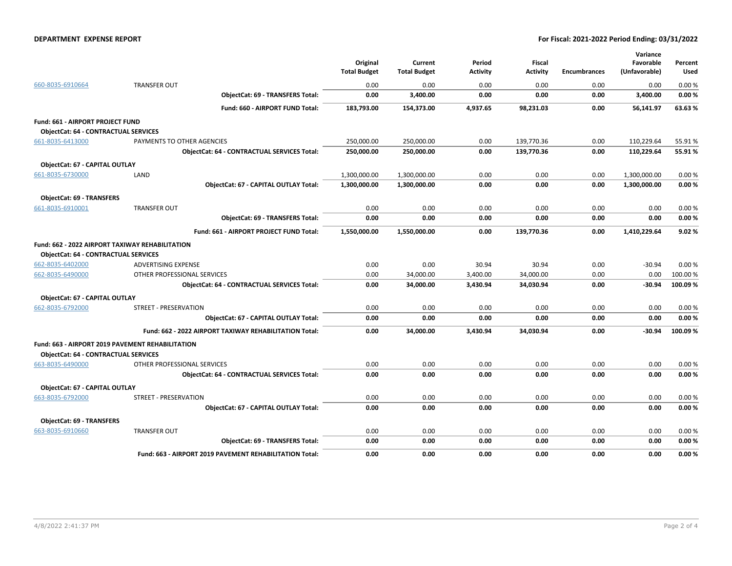#### **DEPARTMENT EXPENSE REPORT For Fiscal: 2021-2022 Period Ending: 03/31/2022**

|                                             |                                                         | Original<br><b>Total Budget</b> | Current<br><b>Total Budget</b> | Period<br>Activity | <b>Fiscal</b><br>Activity | <b>Encumbrances</b> | Variance<br>Favorable<br>(Unfavorable) | Percent<br>Used |
|---------------------------------------------|---------------------------------------------------------|---------------------------------|--------------------------------|--------------------|---------------------------|---------------------|----------------------------------------|-----------------|
| 660-8035-6910664                            | <b>TRANSFER OUT</b>                                     | 0.00                            | 0.00                           | 0.00               | 0.00                      | 0.00                | 0.00                                   | 0.00%           |
|                                             | <b>ObjectCat: 69 - TRANSFERS Total:</b>                 | 0.00                            | 3,400.00                       | 0.00               | 0.00                      | 0.00                | 3,400.00                               | 0.00%           |
|                                             | Fund: 660 - AIRPORT FUND Total:                         | 183,793.00                      | 154,373.00                     | 4,937.65           | 98,231.03                 | 0.00                | 56,141.97                              | 63.63%          |
| Fund: 661 - AIRPORT PROJECT FUND            |                                                         |                                 |                                |                    |                           |                     |                                        |                 |
| <b>ObjectCat: 64 - CONTRACTUAL SERVICES</b> |                                                         |                                 |                                |                    |                           |                     |                                        |                 |
| 661-8035-6413000                            | PAYMENTS TO OTHER AGENCIES                              | 250,000.00                      | 250,000.00                     | 0.00               | 139,770.36                | 0.00                | 110,229.64                             | 55.91%          |
|                                             | <b>ObjectCat: 64 - CONTRACTUAL SERVICES Total:</b>      | 250,000.00                      | 250,000.00                     | 0.00               | 139,770.36                | 0.00                | 110,229.64                             | 55.91%          |
| ObjectCat: 67 - CAPITAL OUTLAY              |                                                         |                                 |                                |                    |                           |                     |                                        |                 |
| 661-8035-6730000                            | LAND                                                    | 1,300,000.00                    | 1,300,000.00                   | 0.00               | 0.00                      | 0.00                | 1,300,000.00                           | 0.00%           |
|                                             | ObjectCat: 67 - CAPITAL OUTLAY Total:                   | 1,300,000.00                    | 1,300,000.00                   | 0.00               | 0.00                      | 0.00                | 1,300,000.00                           | 0.00%           |
| <b>ObjectCat: 69 - TRANSFERS</b>            |                                                         |                                 |                                |                    |                           |                     |                                        |                 |
| 661-8035-6910001                            | <b>TRANSFER OUT</b>                                     | 0.00                            | 0.00                           | 0.00               | 0.00                      | 0.00                | 0.00                                   | 0.00%           |
|                                             | <b>ObjectCat: 69 - TRANSFERS Total:</b>                 | 0.00                            | 0.00                           | 0.00               | 0.00                      | 0.00                | 0.00                                   | 0.00%           |
|                                             | Fund: 661 - AIRPORT PROJECT FUND Total:                 | 1,550,000.00                    | 1,550,000.00                   | 0.00               | 139,770.36                | 0.00                | 1,410,229.64                           | 9.02%           |
| <b>ObjectCat: 64 - CONTRACTUAL SERVICES</b> | <b>Fund: 662 - 2022 AIRPORT TAXIWAY REHABILITATION</b>  |                                 |                                |                    |                           |                     |                                        |                 |
| 662-8035-6402000                            | <b>ADVERTISING EXPENSE</b>                              | 0.00                            | 0.00                           | 30.94              | 30.94                     | 0.00                | $-30.94$                               | 0.00%           |
| 662-8035-6490000                            | OTHER PROFESSIONAL SERVICES                             | 0.00                            | 34,000.00                      | 3,400.00           | 34,000.00                 | 0.00                | 0.00                                   | 100.00 %        |
|                                             | <b>ObjectCat: 64 - CONTRACTUAL SERVICES Total:</b>      | 0.00                            | 34,000.00                      | 3,430.94           | 34,030.94                 | 0.00                | $-30.94$                               | 100.09%         |
| ObjectCat: 67 - CAPITAL OUTLAY              |                                                         |                                 |                                |                    |                           |                     |                                        |                 |
| 662-8035-6792000                            | STREET - PRESERVATION                                   | 0.00                            | 0.00                           | 0.00               | 0.00                      | 0.00                | 0.00                                   | 0.00%           |
|                                             | ObjectCat: 67 - CAPITAL OUTLAY Total:                   | 0.00                            | 0.00                           | 0.00               | 0.00                      | 0.00                | 0.00                                   | 0.00%           |
|                                             | Fund: 662 - 2022 AIRPORT TAXIWAY REHABILITATION Total:  | 0.00                            | 34,000.00                      | 3,430.94           | 34,030.94                 | 0.00                | -30.94                                 | 100.09%         |
|                                             | Fund: 663 - AIRPORT 2019 PAVEMENT REHABILITATION        |                                 |                                |                    |                           |                     |                                        |                 |
| <b>ObjectCat: 64 - CONTRACTUAL SERVICES</b> |                                                         |                                 |                                |                    |                           |                     |                                        |                 |
| 663-8035-6490000                            | OTHER PROFESSIONAL SERVICES                             | 0.00                            | 0.00                           | 0.00               | 0.00                      | 0.00                | 0.00                                   | 0.00%           |
|                                             | <b>ObjectCat: 64 - CONTRACTUAL SERVICES Total:</b>      | 0.00                            | 0.00                           | 0.00               | 0.00                      | 0.00                | 0.00                                   | 0.00%           |
| ObjectCat: 67 - CAPITAL OUTLAY              |                                                         |                                 |                                |                    |                           |                     |                                        |                 |
| 663-8035-6792000                            | STREET - PRESERVATION                                   | 0.00                            | 0.00                           | 0.00               | 0.00                      | 0.00                | 0.00                                   | 0.00%           |
|                                             | <b>ObjectCat: 67 - CAPITAL OUTLAY Total:</b>            | 0.00                            | 0.00                           | 0.00               | 0.00                      | 0.00                | 0.00                                   | 0.00%           |
| <b>ObjectCat: 69 - TRANSFERS</b>            |                                                         |                                 |                                |                    |                           |                     |                                        |                 |
| 663-8035-6910660                            | <b>TRANSFER OUT</b>                                     | 0.00                            | 0.00                           | 0.00               | 0.00                      | 0.00                | 0.00                                   | 0.00%           |
|                                             | <b>ObjectCat: 69 - TRANSFERS Total:</b>                 | 0.00                            | 0.00                           | 0.00               | 0.00                      | 0.00                | 0.00                                   | 0.00%           |
|                                             | Fund: 663 - AIRPORT 2019 PAVEMENT REHABILITATION Total: | 0.00                            | 0.00                           | 0.00               | 0.00                      | 0.00                | 0.00                                   | 0.00%           |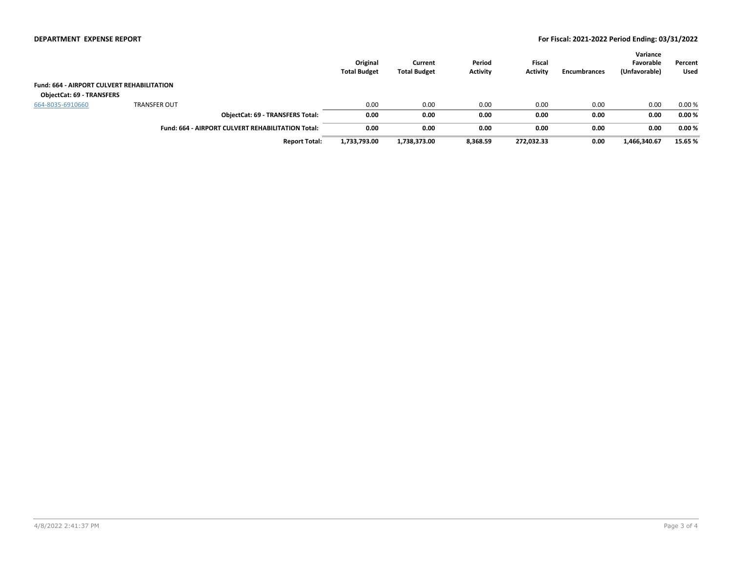#### **DEPARTMENT EXPENSE REPORT For Fiscal: 2021-2022 Period Ending: 03/31/2022**

|                                                   |                     |                                                          | Original<br><b>Total Budget</b> | Current<br><b>Total Budget</b> | Period<br><b>Activity</b> | <b>Fiscal</b><br><b>Activity</b> | <b>Encumbrances</b> | Variance<br>Favorable<br>(Unfavorable) | Percent<br>Used |
|---------------------------------------------------|---------------------|----------------------------------------------------------|---------------------------------|--------------------------------|---------------------------|----------------------------------|---------------------|----------------------------------------|-----------------|
| <b>Fund: 664 - AIRPORT CULVERT REHABILITATION</b> |                     |                                                          |                                 |                                |                           |                                  |                     |                                        |                 |
| <b>ObjectCat: 69 - TRANSFERS</b>                  |                     |                                                          |                                 |                                |                           |                                  |                     |                                        |                 |
| 664-8035-6910660                                  | <b>TRANSFER OUT</b> |                                                          | 0.00                            | 0.00                           | 0.00                      | 0.00                             | 0.00                | 0.00                                   | 0.00%           |
|                                                   |                     | <b>ObjectCat: 69 - TRANSFERS Total:</b>                  | 0.00                            | 0.00                           | 0.00                      | 0.00                             | 0.00                | 0.00                                   | 0.00%           |
|                                                   |                     | <b>Fund: 664 - AIRPORT CULVERT REHABILITATION Total:</b> | 0.00                            | 0.00                           | 0.00                      | 0.00                             | 0.00                | 0.00                                   | 0.00%           |
|                                                   |                     | <b>Report Total:</b>                                     | 1,733,793.00                    | 1,738,373.00                   | 8,368.59                  | 272,032.33                       | 0.00                | 1,466,340.67                           | 15.65 %         |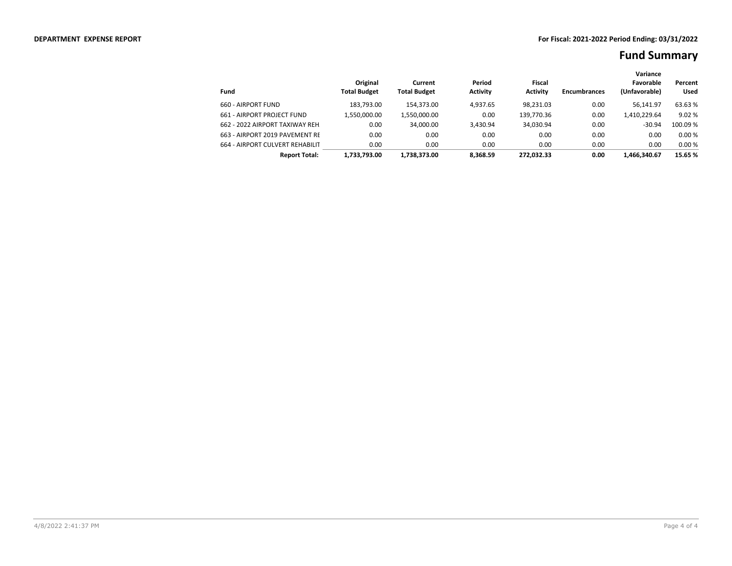|                                 |                                 |                                |                           |                           |                     | Variance                   |                        |
|---------------------------------|---------------------------------|--------------------------------|---------------------------|---------------------------|---------------------|----------------------------|------------------------|
| Fund                            | Original<br><b>Total Budget</b> | Current<br><b>Total Budget</b> | Period<br><b>Activity</b> | Fiscal<br><b>Activity</b> | <b>Encumbrances</b> | Favorable<br>(Unfavorable) | Percent<br><b>Used</b> |
|                                 |                                 |                                |                           |                           |                     |                            |                        |
| 660 - AIRPORT FUND              | 183.793.00                      | 154.373.00                     | 4.937.65                  | 98.231.03                 | 0.00                | 56.141.97                  | 63.63 %                |
| 661 - AIRPORT PROJECT FUND      | 1.550.000.00                    | 1,550,000.00                   | 0.00                      | 139.770.36                | 0.00                | 1,410,229.64               | 9.02%                  |
| 662 - 2022 AIRPORT TAXIWAY REH. | 0.00                            | 34.000.00                      | 3.430.94                  | 34.030.94                 | 0.00                | $-30.94$                   | 100.09 %               |
| 663 - AIRPORT 2019 PAVEMENT RE  | 0.00                            | 0.00                           | 0.00                      | 0.00                      | 0.00                | 0.00                       | 0.00%                  |
| 664 - AIRPORT CULVERT REHABILIT | 0.00                            | 0.00                           | 0.00                      | 0.00                      | 0.00                | 0.00                       | 0.00%                  |
| <b>Report Total:</b>            | 1.733.793.00                    | 1.738.373.00                   | 8.368.59                  | 272.032.33                | 0.00                | 1.466.340.67               | 15.65 %                |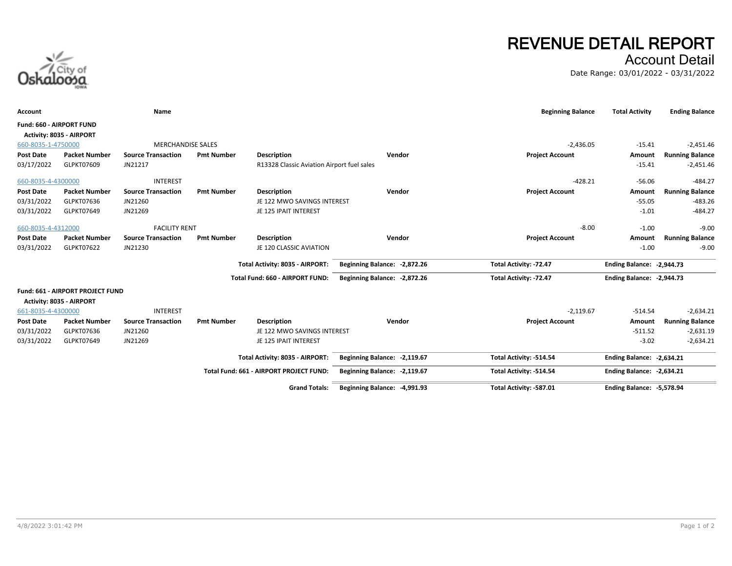# **REVENUE DETAIL REPORT**

Account Detail

Date Range: 03/01/2022 - 03/31/2022



| <b>Account</b>           |                                  | Name                      |                   |                                            |                               | <b>Beginning Balance</b> | <b>Total Activity</b>     | <b>Ending Balance</b>  |
|--------------------------|----------------------------------|---------------------------|-------------------|--------------------------------------------|-------------------------------|--------------------------|---------------------------|------------------------|
| Fund: 660 - AIRPORT FUND | Activity: 8035 - AIRPORT         |                           |                   |                                            |                               |                          |                           |                        |
| 660-8035-1-4750000       |                                  | <b>MERCHANDISE SALES</b>  |                   |                                            |                               | $-2,436.05$              | $-15.41$                  | $-2,451.46$            |
| <b>Post Date</b>         | <b>Packet Number</b>             | <b>Source Transaction</b> | <b>Pmt Number</b> | <b>Description</b>                         | Vendor                        | <b>Project Account</b>   | Amount                    | <b>Running Balance</b> |
| 03/17/2022               | GLPKT07609                       | JN21217                   |                   | R13328 Classic Aviation Airport fuel sales |                               |                          | $-15.41$                  | $-2,451.46$            |
| 660-8035-4-4300000       |                                  | <b>INTEREST</b>           |                   |                                            |                               | $-428.21$                | $-56.06$                  | $-484.27$              |
| <b>Post Date</b>         | <b>Packet Number</b>             | <b>Source Transaction</b> | <b>Pmt Number</b> | <b>Description</b>                         | Vendor                        | <b>Project Account</b>   | Amount                    | <b>Running Balance</b> |
| 03/31/2022               | GLPKT07636                       | JN21260                   |                   | JE 122 MWO SAVINGS INTEREST                |                               |                          | $-55.05$                  | $-483.26$              |
| 03/31/2022               | GLPKT07649                       | JN21269                   |                   | JE 125 IPAIT INTEREST                      |                               |                          | $-1.01$                   | $-484.27$              |
| 660-8035-4-4312000       |                                  | <b>FACILITY RENT</b>      |                   |                                            |                               | $-8.00$                  | $-1.00$                   | $-9.00$                |
| <b>Post Date</b>         | <b>Packet Number</b>             | <b>Source Transaction</b> | <b>Pmt Number</b> | <b>Description</b>                         | Vendor                        | <b>Project Account</b>   | Amount                    | <b>Running Balance</b> |
| 03/31/2022               | GLPKT07622                       | JN21230                   |                   | JE 120 CLASSIC AVIATION                    |                               |                          | $-1.00$                   | $-9.00$                |
|                          |                                  |                           |                   | Total Activity: 8035 - AIRPORT:            | Beginning Balance: -2,872.26  | Total Activity: -72.47   | Ending Balance: -2,944.73 |                        |
|                          |                                  |                           |                   | Total Fund: 660 - AIRPORT FUND:            | Beginning Balance: -2,872.26  | Total Activity: -72.47   | Ending Balance: -2,944.73 |                        |
|                          |                                  |                           |                   |                                            |                               |                          |                           |                        |
|                          | Fund: 661 - AIRPORT PROJECT FUND |                           |                   |                                            |                               |                          |                           |                        |
|                          | Activity: 8035 - AIRPORT         |                           |                   |                                            |                               |                          |                           |                        |
| 661-8035-4-4300000       |                                  | <b>INTEREST</b>           |                   |                                            |                               | $-2,119.67$              | $-514.54$                 | $-2,634.21$            |
| <b>Post Date</b>         | <b>Packet Number</b>             | <b>Source Transaction</b> | <b>Pmt Number</b> | <b>Description</b>                         | Vendor                        | <b>Project Account</b>   | Amount                    | <b>Running Balance</b> |
| 03/31/2022               | GLPKT07636                       | JN21260                   |                   | JE 122 MWO SAVINGS INTEREST                |                               |                          | $-511.52$                 | $-2,631.19$            |
| 03/31/2022               | GLPKT07649                       | JN21269                   |                   | JE 125 IPAIT INTEREST                      |                               |                          | $-3.02$                   | $-2,634.21$            |
|                          |                                  |                           |                   | Total Activity: 8035 - AIRPORT:            | Beginning Balance: - 2,119.67 | Total Activity: -514.54  | Ending Balance: -2,634.21 |                        |
|                          |                                  |                           |                   | Total Fund: 661 - AIRPORT PROJECT FUND:    | Beginning Balance: - 2,119.67 | Total Activity: -514.54  | Ending Balance: -2.634.21 |                        |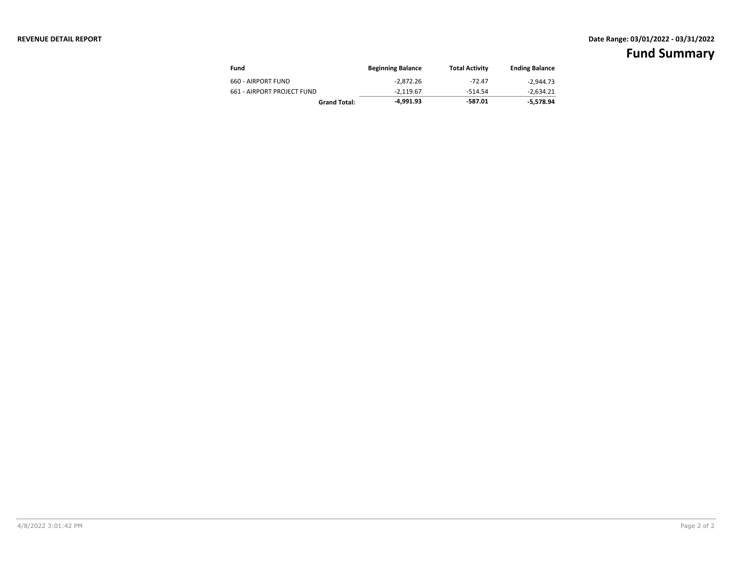#### **REVENUE DETAIL REPORT Date Range: 03/01/2022 - 03/31/2022**

| Fund                       | <b>Beginning Balance</b> | <b>Total Activity</b> | <b>Ending Balance</b> |
|----------------------------|--------------------------|-----------------------|-----------------------|
| 660 - AIRPORT FUND         | $-2.872.26$              | $-72.47$              | $-2.944.73$           |
| 661 - AIRPORT PROJECT FUND | -2.119.67                | $-514.54$             | -2.634.21             |
| <b>Grand Total:</b>        | -4.991.93                | -587.01               | -5.578.94             |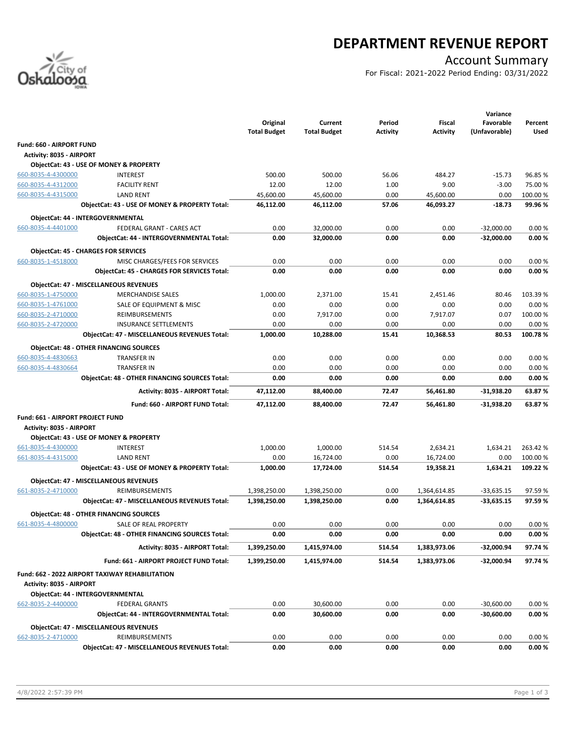

# **DEPARTMENT REVENUE REPORT**

## Account Summary

For Fiscal: 2021-2022 Period Ending: 03/31/2022

|                                  |                                                       |                     |                     |          |                 | Variance      |                  |
|----------------------------------|-------------------------------------------------------|---------------------|---------------------|----------|-----------------|---------------|------------------|
|                                  |                                                       | Original            | Current             | Period   | Fiscal          | Favorable     | Percent          |
|                                  |                                                       | <b>Total Budget</b> | <b>Total Budget</b> | Activity | <b>Activity</b> | (Unfavorable) | Used             |
| Fund: 660 - AIRPORT FUND         |                                                       |                     |                     |          |                 |               |                  |
| <b>Activity: 8035 - AIRPORT</b>  |                                                       |                     |                     |          |                 |               |                  |
|                                  | ObjectCat: 43 - USE OF MONEY & PROPERTY               |                     |                     |          |                 |               |                  |
| 660-8035-4-4300000               | <b>INTEREST</b>                                       | 500.00              | 500.00              | 56.06    | 484.27          | $-15.73$      | 96.85%           |
| 660-8035-4-4312000               | <b>FACILITY RENT</b>                                  | 12.00               | 12.00               | 1.00     | 9.00            | $-3.00$       | 75.00 %          |
| 660-8035-4-4315000               | <b>LAND RENT</b>                                      | 45,600.00           | 45,600.00           | 0.00     | 45,600.00       | 0.00          | 100.00 %         |
|                                  | ObjectCat: 43 - USE OF MONEY & PROPERTY Total:        | 46,112.00           | 46,112.00           | 57.06    | 46,093.27       | $-18.73$      | 99.96%           |
|                                  | ObjectCat: 44 - INTERGOVERNMENTAL                     |                     |                     |          |                 |               |                  |
| 660-8035-4-4401000               | FEDERAL GRANT - CARES ACT                             | 0.00                | 32,000.00           | 0.00     | 0.00            | $-32,000.00$  | 0.00%            |
|                                  | ObjectCat: 44 - INTERGOVERNMENTAL Total:              | 0.00                | 32,000.00           | 0.00     | 0.00            | $-32,000.00$  | 0.00%            |
|                                  | <b>ObjectCat: 45 - CHARGES FOR SERVICES</b>           |                     |                     |          |                 |               |                  |
| 660-8035-1-4518000               | MISC CHARGES/FEES FOR SERVICES                        | 0.00                | 0.00                | 0.00     | 0.00            | 0.00          | 0.00%            |
|                                  | <b>ObjectCat: 45 - CHARGES FOR SERVICES Total:</b>    | 0.00                | 0.00                | 0.00     | 0.00            | 0.00          | 0.00%            |
|                                  |                                                       |                     |                     |          |                 |               |                  |
|                                  | <b>ObjectCat: 47 - MISCELLANEOUS REVENUES</b>         |                     |                     |          |                 |               |                  |
| 660-8035-1-4750000               | <b>MERCHANDISE SALES</b>                              | 1,000.00            | 2,371.00            | 15.41    | 2,451.46        | 80.46         | 103.39 %         |
| 660-8035-1-4761000               | SALE OF EQUIPMENT & MISC                              | 0.00                | 0.00<br>7.917.00    | 0.00     | 0.00            | 0.00          | 0.00%            |
| 660-8035-2-4710000               | REIMBURSEMENTS                                        | 0.00                |                     | 0.00     | 7,917.07        | 0.07          | 100.00%          |
| 660-8035-2-4720000               | <b>INSURANCE SETTLEMENTS</b>                          | 0.00                | 0.00                | 0.00     | 0.00            | 0.00          | 0.00%<br>100.78% |
|                                  | <b>ObjectCat: 47 - MISCELLANEOUS REVENUES Total:</b>  | 1,000.00            | 10,288.00           | 15.41    | 10,368.53       | 80.53         |                  |
|                                  | <b>ObjectCat: 48 - OTHER FINANCING SOURCES</b>        |                     |                     |          |                 |               |                  |
| 660-8035-4-4830663               | TRANSFER IN                                           | 0.00                | 0.00                | 0.00     | 0.00            | 0.00          | 0.00%            |
| 660-8035-4-4830664               | <b>TRANSFER IN</b>                                    | 0.00                | 0.00                | 0.00     | 0.00            | 0.00          | 0.00%            |
|                                  | <b>ObjectCat: 48 - OTHER FINANCING SOURCES Total:</b> | 0.00                | 0.00                | 0.00     | 0.00            | 0.00          | 0.00%            |
|                                  | Activity: 8035 - AIRPORT Total:                       | 47,112.00           | 88,400.00           | 72.47    | 56,461.80       | -31,938.20    | 63.87%           |
|                                  | Fund: 660 - AIRPORT FUND Total:                       | 47,112.00           | 88,400.00           | 72.47    | 56,461.80       | -31,938.20    | 63.87%           |
|                                  |                                                       |                     |                     |          |                 |               |                  |
| Fund: 661 - AIRPORT PROJECT FUND |                                                       |                     |                     |          |                 |               |                  |
| <b>Activity: 8035 - AIRPORT</b>  | ObjectCat: 43 - USE OF MONEY & PROPERTY               |                     |                     |          |                 |               |                  |
| 661-8035-4-4300000               | <b>INTEREST</b>                                       | 1,000.00            | 1,000.00            | 514.54   | 2,634.21        | 1,634.21      | 263.42%          |
| 661-8035-4-4315000               | <b>LAND RENT</b>                                      | 0.00                | 16,724.00           | 0.00     | 16,724.00       | 0.00          | 100.00%          |
|                                  | ObjectCat: 43 - USE OF MONEY & PROPERTY Total:        | 1,000.00            | 17,724.00           | 514.54   | 19,358.21       | 1,634.21      | 109.22%          |
|                                  |                                                       |                     |                     |          |                 |               |                  |
|                                  | <b>ObjectCat: 47 - MISCELLANEOUS REVENUES</b>         |                     |                     |          |                 |               |                  |
| 661-8035-2-4710000               | <b>REIMBURSEMENTS</b>                                 | 1,398,250.00        | 1,398,250.00        | 0.00     | 1,364,614.85    | $-33,635.15$  | 97.59%           |
|                                  | ObjectCat: 47 - MISCELLANEOUS REVENUES Total:         | 1,398,250.00        | 1,398,250.00        | 0.00     | 1,364,614.85    | $-33,635.15$  | 97.59%           |
|                                  | <b>ObjectCat: 48 - OTHER FINANCING SOURCES</b>        |                     |                     |          |                 |               |                  |
| 661-8035-4-4800000               | SALE OF REAL PROPERTY                                 | 0.00                | 0.00                | 0.00     | 0.00            | 0.00          | 0.00%            |
|                                  | ObjectCat: 48 - OTHER FINANCING SOURCES Total:        | 0.00                | 0.00                | 0.00     | 0.00            | 0.00          | 0.00%            |
|                                  | Activity: 8035 - AIRPORT Total:                       | 1,399,250.00        | 1,415,974.00        | 514.54   | 1,383,973.06    | -32,000.94    | 97.74%           |
|                                  | Fund: 661 - AIRPORT PROJECT FUND Total:               | 1,399,250.00        | 1,415,974.00        | 514.54   | 1,383,973.06    | -32,000.94    | 97.74%           |
|                                  |                                                       |                     |                     |          |                 |               |                  |
| Activity: 8035 - AIRPORT         | Fund: 662 - 2022 AIRPORT TAXIWAY REHABILITATION       |                     |                     |          |                 |               |                  |
|                                  | ObjectCat: 44 - INTERGOVERNMENTAL                     |                     |                     |          |                 |               |                  |
| 662-8035-2-4400000               | <b>FEDERAL GRANTS</b>                                 | 0.00                | 30,600.00           | 0.00     | 0.00            | $-30,600.00$  | 0.00%            |
|                                  | ObjectCat: 44 - INTERGOVERNMENTAL Total:              | 0.00                | 30,600.00           | 0.00     | 0.00            | $-30,600.00$  | 0.00%            |
|                                  |                                                       |                     |                     |          |                 |               |                  |
|                                  | <b>ObjectCat: 47 - MISCELLANEOUS REVENUES</b>         |                     |                     |          |                 |               |                  |
| 662-8035-2-4710000               | REIMBURSEMENTS                                        | 0.00                | 0.00                | 0.00     | 0.00            | 0.00          | 0.00%            |
|                                  | ObjectCat: 47 - MISCELLANEOUS REVENUES Total:         | 0.00                | 0.00                | 0.00     | 0.00            | 0.00          | 0.00%            |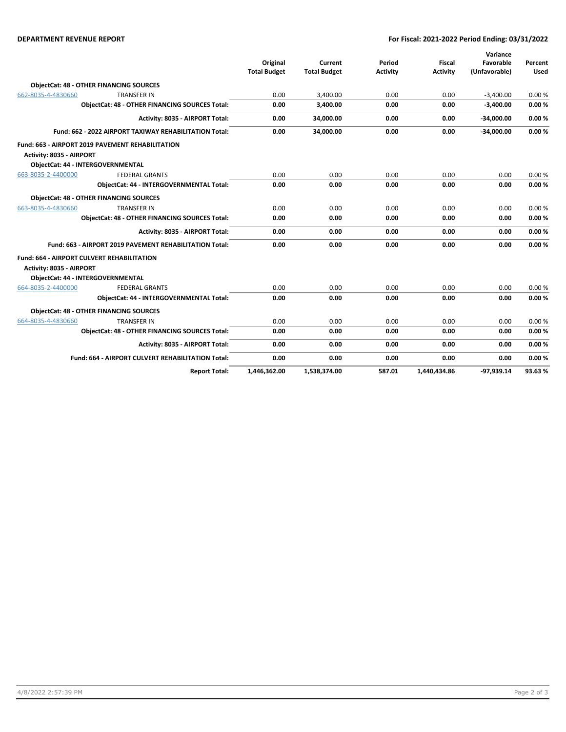#### **DEPARTMENT REVENUE REPORT For Fiscal: 2021-2022 Period Ending: 03/31/2022**

|                                                        |                                                          |                     |                     |                 |                 | Variance      |             |
|--------------------------------------------------------|----------------------------------------------------------|---------------------|---------------------|-----------------|-----------------|---------------|-------------|
|                                                        |                                                          | Original            | Current             | Period          | <b>Fiscal</b>   | Favorable     | Percent     |
|                                                        |                                                          | <b>Total Budget</b> | <b>Total Budget</b> | <b>Activity</b> | <b>Activity</b> | (Unfavorable) | <b>Used</b> |
|                                                        | <b>ObjectCat: 48 - OTHER FINANCING SOURCES</b>           |                     |                     |                 |                 |               |             |
| 662-8035-4-4830660                                     | <b>TRANSFER IN</b>                                       | 0.00                | 3,400.00            | 0.00            | 0.00            | $-3,400.00$   | 0.00%       |
| <b>ObjectCat: 48 - OTHER FINANCING SOURCES Total:</b>  |                                                          | 0.00                | 3,400.00            | 0.00            | 0.00            | $-3,400.00$   | 0.00%       |
|                                                        | Activity: 8035 - AIRPORT Total:                          | 0.00                | 34,000.00           | 0.00            | 0.00            | $-34,000.00$  | 0.00%       |
| Fund: 662 - 2022 AIRPORT TAXIWAY REHABILITATION Total: |                                                          | 0.00                | 34.000.00           | 0.00            | 0.00            | $-34,000.00$  | 0.00%       |
|                                                        | Fund: 663 - AIRPORT 2019 PAVEMENT REHABILITATION         |                     |                     |                 |                 |               |             |
| Activity: 8035 - AIRPORT                               |                                                          |                     |                     |                 |                 |               |             |
|                                                        | <b>ObjectCat: 44 - INTERGOVERNMENTAL</b>                 |                     |                     |                 |                 |               |             |
| 663-8035-2-4400000                                     | <b>FEDERAL GRANTS</b>                                    | 0.00                | 0.00                | 0.00            | 0.00            | 0.00          | 0.00%       |
|                                                        | ObjectCat: 44 - INTERGOVERNMENTAL Total:                 | 0.00                | 0.00                | 0.00            | 0.00            | 0.00          | 0.00%       |
|                                                        | <b>ObjectCat: 48 - OTHER FINANCING SOURCES</b>           |                     |                     |                 |                 |               |             |
| 663-8035-4-4830660                                     | <b>TRANSFER IN</b>                                       | 0.00                | 0.00                | 0.00            | 0.00            | 0.00          | 0.00%       |
|                                                        | <b>ObjectCat: 48 - OTHER FINANCING SOURCES Total:</b>    | 0.00                | 0.00                | 0.00            | 0.00            | 0.00          | 0.00%       |
|                                                        | Activity: 8035 - AIRPORT Total:                          | 0.00                | 0.00                | 0.00            | 0.00            | 0.00          | 0.00%       |
|                                                        | Fund: 663 - AIRPORT 2019 PAVEMENT REHABILITATION Total:  | 0.00                | 0.00                | 0.00            | 0.00            | 0.00          | 0.00%       |
|                                                        | <b>Fund: 664 - AIRPORT CULVERT REHABILITATION</b>        |                     |                     |                 |                 |               |             |
| Activity: 8035 - AIRPORT                               |                                                          |                     |                     |                 |                 |               |             |
|                                                        | <b>ObjectCat: 44 - INTERGOVERNMENTAL</b>                 |                     |                     |                 |                 |               |             |
| 664-8035-2-4400000                                     | <b>FEDERAL GRANTS</b>                                    | 0.00                | 0.00                | 0.00            | 0.00            | 0.00          | 0.00%       |
|                                                        | <b>ObjectCat: 44 - INTERGOVERNMENTAL Total:</b>          | 0.00                | 0.00                | 0.00            | 0.00            | 0.00          | 0.00%       |
|                                                        | <b>ObjectCat: 48 - OTHER FINANCING SOURCES</b>           |                     |                     |                 |                 |               |             |
| 664-8035-4-4830660                                     | <b>TRANSFER IN</b>                                       | 0.00                | 0.00                | 0.00            | 0.00            | 0.00          | 0.00%       |
|                                                        | <b>ObjectCat: 48 - OTHER FINANCING SOURCES Total:</b>    | 0.00                | 0.00                | 0.00            | 0.00            | 0.00          | 0.00%       |
|                                                        | Activity: 8035 - AIRPORT Total:                          | 0.00                | 0.00                | 0.00            | 0.00            | 0.00          | 0.00%       |
|                                                        | <b>Fund: 664 - AIRPORT CULVERT REHABILITATION Total:</b> | 0.00                | 0.00                | 0.00            | 0.00            | 0.00          | 0.00%       |
|                                                        | <b>Report Total:</b>                                     | 1,446,362.00        | 1.538.374.00        | 587.01          | 1.440.434.86    | $-97.939.14$  | 93.63%      |